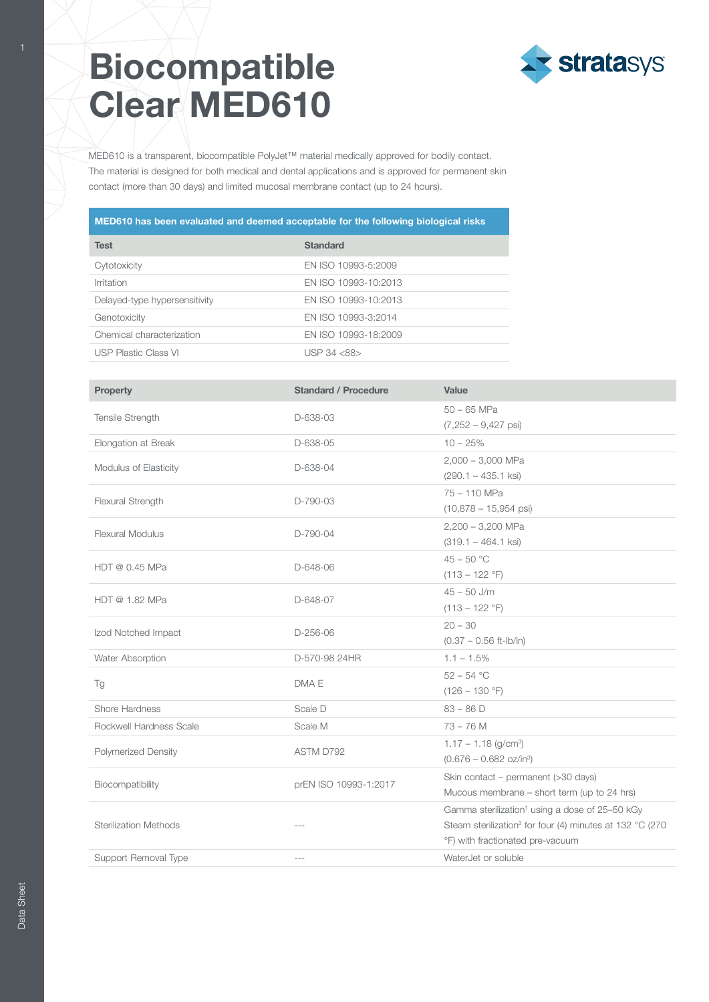## **Biocompatible Clear MED610**



MED610 is a transparent, biocompatible PolyJet™ material medically approved for bodily contact. The material is designed for both medical and dental applications and is approved for permanent skin contact (more than 30 days) and limited mucosal membrane contact (up to 24 hours).

| MED610 has been evaluated and deemed acceptable for the following biological risks |                      |  |  |
|------------------------------------------------------------------------------------|----------------------|--|--|
| <b>Test</b>                                                                        | <b>Standard</b>      |  |  |
| Cytotoxicity                                                                       | EN ISO 10993-5:2009  |  |  |
| Irritation                                                                         | EN ISO 10993-10:2013 |  |  |
| Delayed-type hypersensitivity                                                      | EN ISO 10993-10:2013 |  |  |
| Genotoxicity                                                                       | EN ISO 10993-3:2014  |  |  |
| Chemical characterization                                                          | EN ISO 10993-18:2009 |  |  |
| <b>USP Plastic Class VI</b>                                                        | USP $34 < 88$        |  |  |
|                                                                                    |                      |  |  |

| <b>Property</b>              | <b>Standard / Procedure</b> | Value                                                                                                                                                                  |
|------------------------------|-----------------------------|------------------------------------------------------------------------------------------------------------------------------------------------------------------------|
| Tensile Strength             | D-638-03                    | $50 - 65$ MPa<br>$(7,252 - 9,427 \text{ psi})$                                                                                                                         |
| Elongation at Break          | D-638-05                    | $10 - 25%$                                                                                                                                                             |
| Modulus of Elasticity        | D-638-04                    | $2,000 - 3,000$ MPa<br>$(290.1 - 435.1$ ksi)                                                                                                                           |
| Flexural Strength            | D-790-03                    | 75 - 110 MPa<br>$(10,878 - 15,954 \text{ psi})$                                                                                                                        |
| <b>Flexural Modulus</b>      | D-790-04                    | $2,200 - 3,200$ MPa<br>$(319.1 - 464.1$ ksi)                                                                                                                           |
| HDT $@0.45$ MPa              | D-648-06                    | $45 - 50 °C$<br>$(113 - 122 \degree F)$                                                                                                                                |
| HDT @ 1.82 MPa               | D-648-07                    | $45 - 50$ J/m<br>$(113 - 122 \text{ }^\circ F)$                                                                                                                        |
| Izod Notched Impact          | D-256-06                    | $20 - 30$<br>$(0.37 - 0.56$ ft-lb/in)                                                                                                                                  |
| Water Absorption             | D-570-98 24HR               | $1.1 - 1.5\%$                                                                                                                                                          |
| Tg                           | DMA E                       | $52 - 54 °C$<br>$(126 - 130 \degree F)$                                                                                                                                |
| Shore Hardness               | Scale D                     | $83 - 86$ D                                                                                                                                                            |
| Rockwell Hardness Scale      | Scale M                     | $73 - 76 M$                                                                                                                                                            |
| <b>Polymerized Density</b>   | ASTM D792                   | $1.17 - 1.18$ (g/cm <sup>3</sup> )<br>$(0.676 - 0.682$ oz/in <sup>3</sup> )                                                                                            |
| Biocompatibility             | prEN ISO 10993-1:2017       | Skin contact - permanent (>30 days)<br>Mucous membrane – short term (up to 24 hrs)                                                                                     |
| <b>Sterilization Methods</b> |                             | Gamma sterilization <sup>1</sup> using a dose of 25-50 kGy<br>Steam sterilization <sup>2</sup> for four (4) minutes at 132 °C (270<br>°F) with fractionated pre-vacuum |
| Support Removal Type         | $---$                       | WaterJet or soluble                                                                                                                                                    |